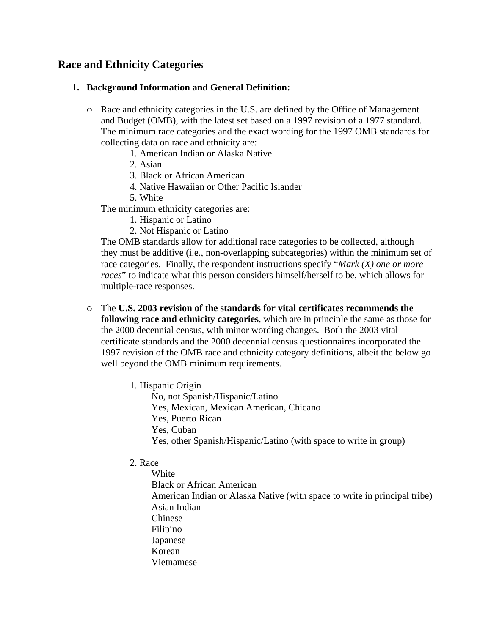# **Race and Ethnicity Categories**

### **1. Background Information and General Definition:**

- { Race and ethnicity categories in the U.S. are defined by the Office of Management and Budget (OMB), with the latest set based on a 1997 revision of a 1977 standard. The minimum race categories and the exact wording for the 1997 OMB standards for collecting data on race and ethnicity are:
	- 1. American Indian or Alaska Native
	- 2. Asian
	- 3. Black or African American
	- 4. Native Hawaiian or Other Pacific Islander
	- 5. White

The minimum ethnicity categories are:

- 1. Hispanic or Latino
- 2. Not Hispanic or Latino

The OMB standards allow for additional race categories to be collected, although they must be additive (i.e., non-overlapping subcategories) within the minimum set of race categories. Finally, the respondent instructions specify "*Mark (X) one or more races*" to indicate what this person considers himself/herself to be, which allows for multiple-race responses.

- { The **U.S. 2003 revision of the standards for vital certificates recommends the following race and ethnicity categories**, which are in principle the same as those for the 2000 decennial census, with minor wording changes. Both the 2003 vital certificate standards and the 2000 decennial census questionnaires incorporated the 1997 revision of the OMB race and ethnicity category definitions, albeit the below go well beyond the OMB minimum requirements.
	- 1. Hispanic Origin
		- No, not Spanish/Hispanic/Latino Yes, Mexican, Mexican American, Chicano Yes, Puerto Rican Yes, Cuban Yes, other Spanish/Hispanic/Latino (with space to write in group)

# 2. Race

 White Black or African American American Indian or Alaska Native (with space to write in principal tribe) Asian Indian Chinese Filipino Japanese Korean Vietnamese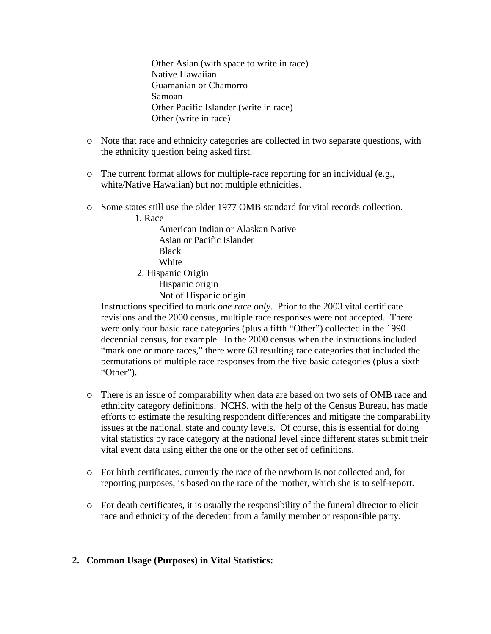Other Asian (with space to write in race) Native Hawaiian Guamanian or Chamorro Samoan Other Pacific Islander (write in race) Other (write in race)

- { Note that race and ethnicity categories are collected in two separate questions, with the ethnicity question being asked first.
- $\circ$  The current format allows for multiple-race reporting for an individual (e.g., white/Native Hawaiian) but not multiple ethnicities.
- $\circ$  Some states still use the older 1977 OMB standard for vital records collection.

1. Race

 American Indian or Alaskan Native Asian or Pacific Islander **Black White** 2. Hispanic Origin

 Hispanic origin Not of Hispanic origin

Instructions specified to mark *one race only*. Prior to the 2003 vital certificate revisions and the 2000 census, multiple race responses were not accepted. There were only four basic race categories (plus a fifth "Other") collected in the 1990 decennial census, for example. In the 2000 census when the instructions included "mark one or more races," there were 63 resulting race categories that included the permutations of multiple race responses from the five basic categories (plus a sixth "Other").

- { There is an issue of comparability when data are based on two sets of OMB race and ethnicity category definitions. NCHS, with the help of the Census Bureau, has made efforts to estimate the resulting respondent differences and mitigate the comparability issues at the national, state and county levels. Of course, this is essential for doing vital statistics by race category at the national level since different states submit their vital event data using either the one or the other set of definitions.
- { For birth certificates, currently the race of the newborn is not collected and, for reporting purposes, is based on the race of the mother, which she is to self-report.
- $\circ$  For death certificates, it is usually the responsibility of the funeral director to elicit race and ethnicity of the decedent from a family member or responsible party.

## **2. Common Usage (Purposes) in Vital Statistics:**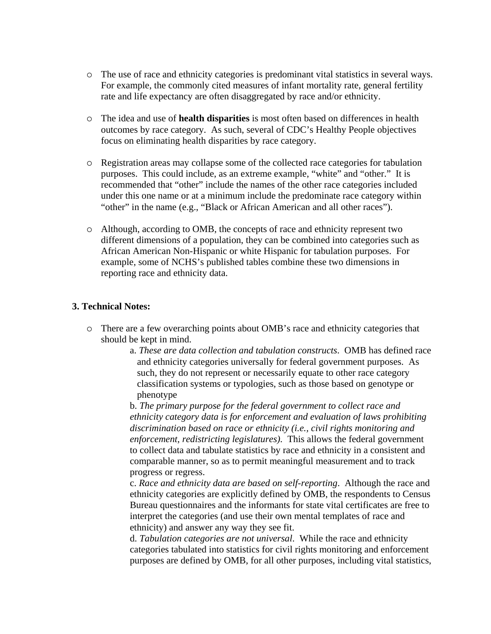- ${\circ}$  The use of race and ethnicity categories is predominant vital statistics in several ways. For example, the commonly cited measures of infant mortality rate, general fertility rate and life expectancy are often disaggregated by race and/or ethnicity.
- { The idea and use of **health disparities** is most often based on differences in health outcomes by race category. As such, several of CDC's Healthy People objectives focus on eliminating health disparities by race category.
- { Registration areas may collapse some of the collected race categories for tabulation purposes. This could include, as an extreme example, "white" and "other." It is recommended that "other" include the names of the other race categories included under this one name or at a minimum include the predominate race category within "other" in the name (e.g., "Black or African American and all other races").
- ${\circ}$  Although, according to OMB, the concepts of race and ethnicity represent two different dimensions of a population, they can be combined into categories such as African American Non-Hispanic or white Hispanic for tabulation purposes. For example, some of NCHS's published tables combine these two dimensions in reporting race and ethnicity data.

#### **3. Technical Notes:**

- { There are a few overarching points about OMB's race and ethnicity categories that should be kept in mind.
	- a. *These are data collection and tabulation constructs*. OMB has defined race and ethnicity categories universally for federal government purposes. As such, they do not represent or necessarily equate to other race category classification systems or typologies, such as those based on genotype or phenotype

b. *The primary purpose for the federal government to collect race and ethnicity category data is for enforcement and evaluation of laws prohibiting discrimination based on race or ethnicity (i.e., civil rights monitoring and enforcement, redistricting legislatures)*. This allows the federal government to collect data and tabulate statistics by race and ethnicity in a consistent and comparable manner, so as to permit meaningful measurement and to track progress or regress.

c. *Race and ethnicity data are based on self-reporting*. Although the race and ethnicity categories are explicitly defined by OMB, the respondents to Census Bureau questionnaires and the informants for state vital certificates are free to interpret the categories (and use their own mental templates of race and ethnicity) and answer any way they see fit.

d. *Tabulation categories are not universal*. While the race and ethnicity categories tabulated into statistics for civil rights monitoring and enforcement purposes are defined by OMB, for all other purposes, including vital statistics,